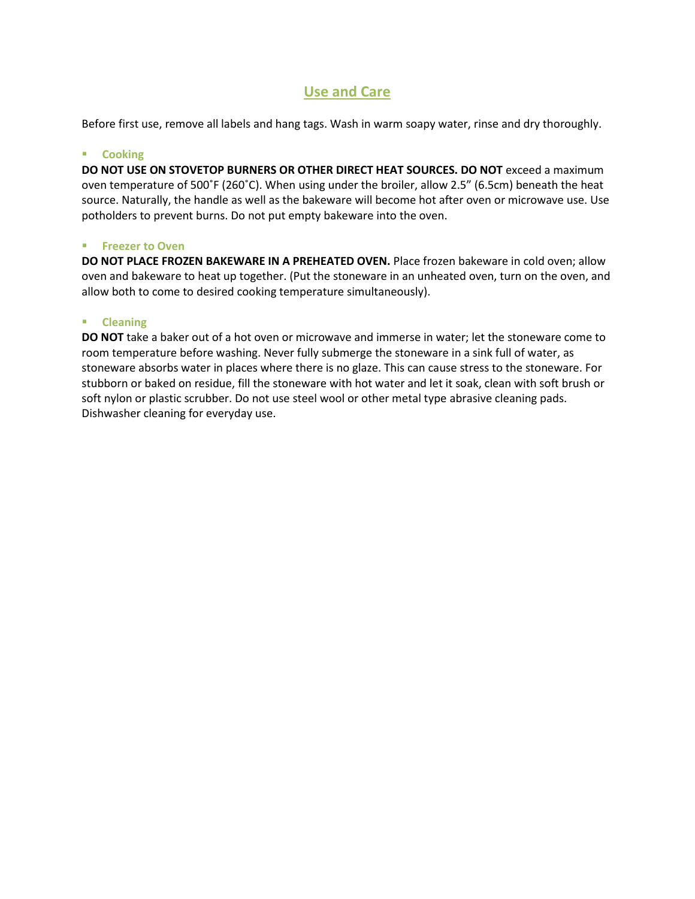## **Use and Care**

Before first use, remove all labels and hang tags. Wash in warm soapy water, rinse and dry thoroughly.

#### **E** Cooking

**DO NOT USE ON STOVETOP BURNERS OR OTHER DIRECT HEAT SOURCES. DO NOT** exceed a maximum oven temperature of 500˚F (260˚C). When using under the broiler, allow 2.5" (6.5cm) beneath the heat source. Naturally, the handle as well as the bakeware will become hot after oven or microwave use. Use potholders to prevent burns. Do not put empty bakeware into the oven.

#### **Freezer to Oven**

**DO NOT PLACE FROZEN BAKEWARE IN A PREHEATED OVEN.** Place frozen bakeware in cold oven; allow oven and bakeware to heat up together. (Put the stoneware in an unheated oven, turn on the oven, and allow both to come to desired cooking temperature simultaneously).

### **Cleaning**

**DO NOT** take a baker out of a hot oven or microwave and immerse in water; let the stoneware come to room temperature before washing. Never fully submerge the stoneware in a sink full of water, as stoneware absorbs water in places where there is no glaze. This can cause stress to the stoneware. For stubborn or baked on residue, fill the stoneware with hot water and let it soak, clean with soft brush or soft nylon or plastic scrubber. Do not use steel wool or other metal type abrasive cleaning pads. Dishwasher cleaning for everyday use.